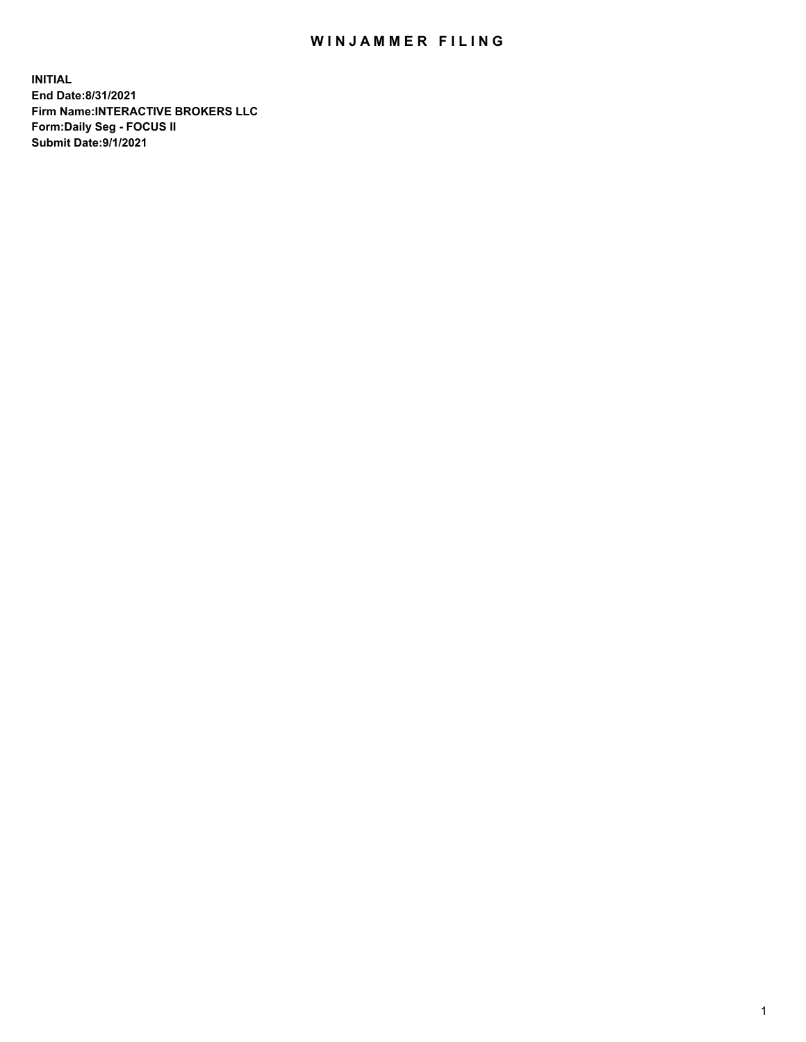## WIN JAMMER FILING

**INITIAL End Date:8/31/2021 Firm Name:INTERACTIVE BROKERS LLC Form:Daily Seg - FOCUS II Submit Date:9/1/2021**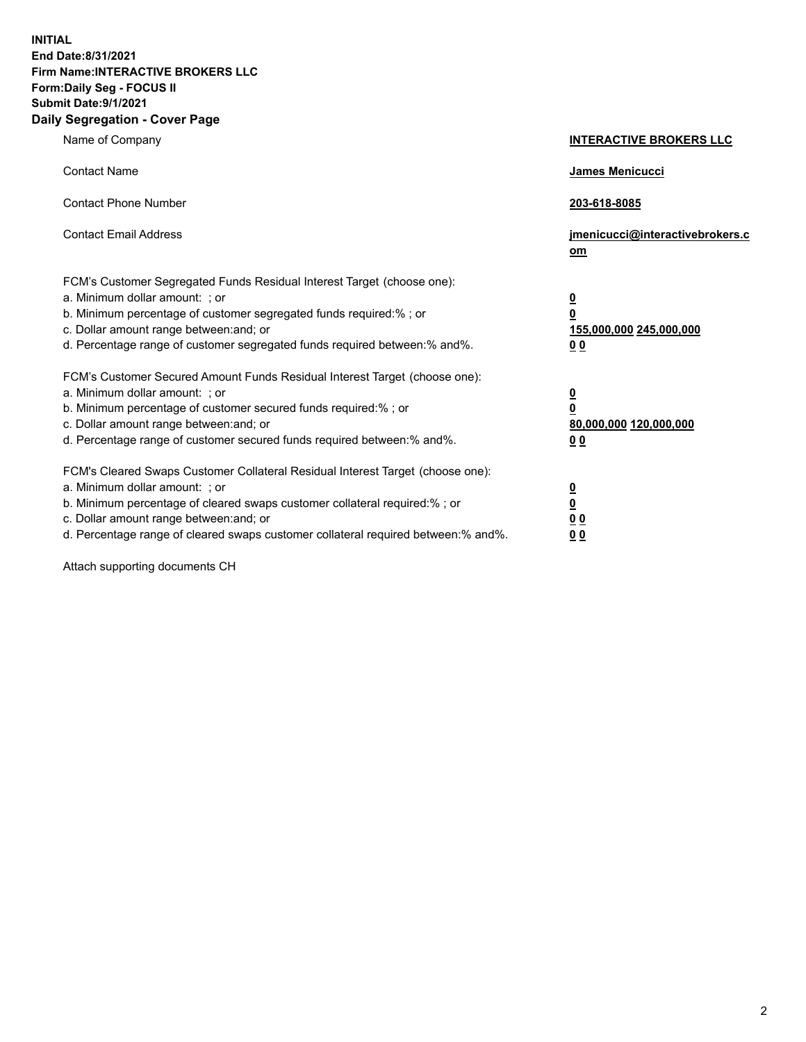**INITIAL End Date:8/31/2021 Firm Name:INTERACTIVE BROKERS LLC Form:Daily Seg - FOCUS II Submit Date:9/1/2021 Daily Segregation - Cover Page**

| Name of Company                                                                                                                                                                                                                                                                                                                | <b>INTERACTIVE BROKERS LLC</b>                                                                  |
|--------------------------------------------------------------------------------------------------------------------------------------------------------------------------------------------------------------------------------------------------------------------------------------------------------------------------------|-------------------------------------------------------------------------------------------------|
| <b>Contact Name</b>                                                                                                                                                                                                                                                                                                            | <b>James Menicucci</b>                                                                          |
| <b>Contact Phone Number</b>                                                                                                                                                                                                                                                                                                    | 203-618-8085                                                                                    |
| <b>Contact Email Address</b>                                                                                                                                                                                                                                                                                                   | jmenicucci@interactivebrokers.c<br>om                                                           |
| FCM's Customer Segregated Funds Residual Interest Target (choose one):<br>a. Minimum dollar amount: ; or<br>b. Minimum percentage of customer segregated funds required:%; or<br>c. Dollar amount range between: and; or<br>d. Percentage range of customer segregated funds required between:% and%.                          | $\overline{\mathbf{0}}$<br>$\overline{\mathbf{0}}$<br>155,000,000 245,000,000<br>0 <sub>0</sub> |
| FCM's Customer Secured Amount Funds Residual Interest Target (choose one):<br>a. Minimum dollar amount: ; or<br>b. Minimum percentage of customer secured funds required:%; or<br>c. Dollar amount range between: and; or<br>d. Percentage range of customer secured funds required between:% and%.                            | $\overline{\mathbf{0}}$<br>$\overline{\mathbf{0}}$<br>80,000,000 120,000,000<br>0 <sub>0</sub>  |
| FCM's Cleared Swaps Customer Collateral Residual Interest Target (choose one):<br>a. Minimum dollar amount: ; or<br>b. Minimum percentage of cleared swaps customer collateral required:% ; or<br>c. Dollar amount range between: and; or<br>d. Percentage range of cleared swaps customer collateral required between:% and%. | $\overline{\mathbf{0}}$<br>$\overline{\mathbf{0}}$<br>0 <sub>0</sub><br>0 <sub>0</sub>          |

Attach supporting documents CH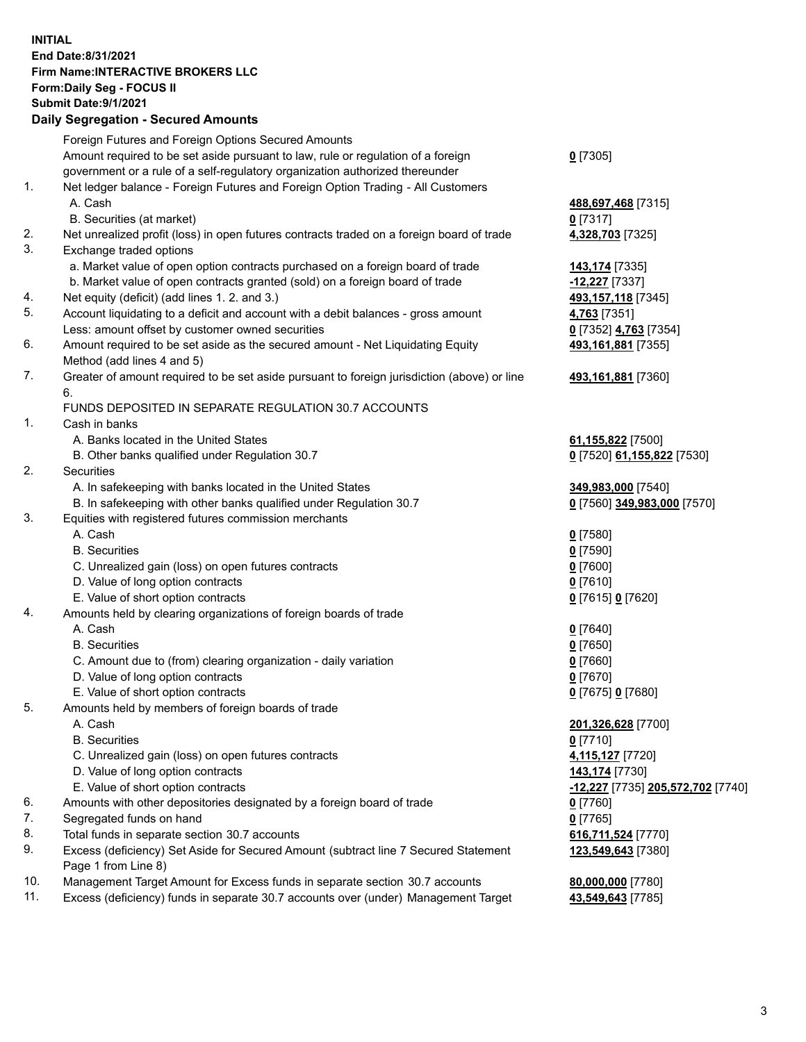**INITIAL End Date:8/31/2021 Firm Name:INTERACTIVE BROKERS LLC Form:Daily Seg - FOCUS II Submit Date:9/1/2021 Daily Segregation - Secured Amounts**

|     | Foreign Futures and Foreign Options Secured Amounts                                                          |                                                       |
|-----|--------------------------------------------------------------------------------------------------------------|-------------------------------------------------------|
|     | Amount required to be set aside pursuant to law, rule or regulation of a foreign                             | $0$ [7305]                                            |
|     | government or a rule of a self-regulatory organization authorized thereunder                                 |                                                       |
| 1.  | Net ledger balance - Foreign Futures and Foreign Option Trading - All Customers                              |                                                       |
|     | A. Cash                                                                                                      | 488,697,468 [7315]                                    |
|     | B. Securities (at market)                                                                                    | $0$ [7317]                                            |
| 2.  | Net unrealized profit (loss) in open futures contracts traded on a foreign board of trade                    | 4,328,703 [7325]                                      |
| 3.  | Exchange traded options                                                                                      |                                                       |
|     | a. Market value of open option contracts purchased on a foreign board of trade                               | 143,174 [7335]                                        |
|     | b. Market value of open contracts granted (sold) on a foreign board of trade                                 | -12,227 [7337]                                        |
| 4.  | Net equity (deficit) (add lines 1. 2. and 3.)                                                                | 493,157,118 [7345]                                    |
| 5.  | Account liquidating to a deficit and account with a debit balances - gross amount                            | 4,763 [7351]                                          |
| 6.  | Less: amount offset by customer owned securities                                                             | 0 [7352] 4,763 [7354]                                 |
|     | Amount required to be set aside as the secured amount - Net Liquidating Equity<br>Method (add lines 4 and 5) | 493,161,881 [7355]                                    |
| 7.  | Greater of amount required to be set aside pursuant to foreign jurisdiction (above) or line                  | 493,161,881 [7360]                                    |
|     | 6.                                                                                                           |                                                       |
|     | FUNDS DEPOSITED IN SEPARATE REGULATION 30.7 ACCOUNTS                                                         |                                                       |
| 1.  | Cash in banks                                                                                                |                                                       |
|     | A. Banks located in the United States                                                                        | 61,155,822 [7500]                                     |
|     | B. Other banks qualified under Regulation 30.7                                                               | 0 [7520] 61,155,822 [7530]                            |
| 2.  | Securities                                                                                                   |                                                       |
|     | A. In safekeeping with banks located in the United States                                                    | 349,983,000 [7540]                                    |
|     | B. In safekeeping with other banks qualified under Regulation 30.7                                           | 0 [7560] 349,983,000 [7570]                           |
| 3.  | Equities with registered futures commission merchants                                                        |                                                       |
|     | A. Cash                                                                                                      | $0$ [7580]                                            |
|     | <b>B.</b> Securities                                                                                         | $0$ [7590]                                            |
|     | C. Unrealized gain (loss) on open futures contracts                                                          | $0$ [7600]                                            |
|     | D. Value of long option contracts                                                                            | $0$ [7610]                                            |
|     | E. Value of short option contracts                                                                           | 0 [7615] 0 [7620]                                     |
| 4.  | Amounts held by clearing organizations of foreign boards of trade                                            |                                                       |
|     | A. Cash                                                                                                      | $0$ [7640]                                            |
|     | <b>B.</b> Securities                                                                                         | $0$ [7650]                                            |
|     | C. Amount due to (from) clearing organization - daily variation                                              | $0$ [7660]                                            |
|     | D. Value of long option contracts                                                                            | $0$ [7670]                                            |
|     | E. Value of short option contracts                                                                           | 0 [7675] 0 [7680]                                     |
| 5.  | Amounts held by members of foreign boards of trade                                                           |                                                       |
|     | A. Cash                                                                                                      | 201,326,628 [7700]                                    |
|     | <b>B.</b> Securities                                                                                         | $0$ [7710]                                            |
|     | C. Unrealized gain (loss) on open futures contracts                                                          | 4,115,127 [7720]                                      |
|     | D. Value of long option contracts                                                                            | 143,174 [7730]                                        |
|     | E. Value of short option contracts                                                                           | <mark>-12,227</mark> [7735] <b>205,572,702</b> [7740] |
| 6.  | Amounts with other depositories designated by a foreign board of trade                                       | 0 [7760]                                              |
| 7.  | Segregated funds on hand                                                                                     | $0$ [7765]                                            |
| 8.  | Total funds in separate section 30.7 accounts                                                                | 616,711,524 [7770]                                    |
| 9.  | Excess (deficiency) Set Aside for Secured Amount (subtract line 7 Secured Statement                          | 123,549,643 [7380]                                    |
|     | Page 1 from Line 8)                                                                                          |                                                       |
| 10. | Management Target Amount for Excess funds in separate section 30.7 accounts                                  | 80,000,000 [7780]                                     |
| 11. | Excess (deficiency) funds in separate 30.7 accounts over (under) Management Target                           | 43,549,643 [7785]                                     |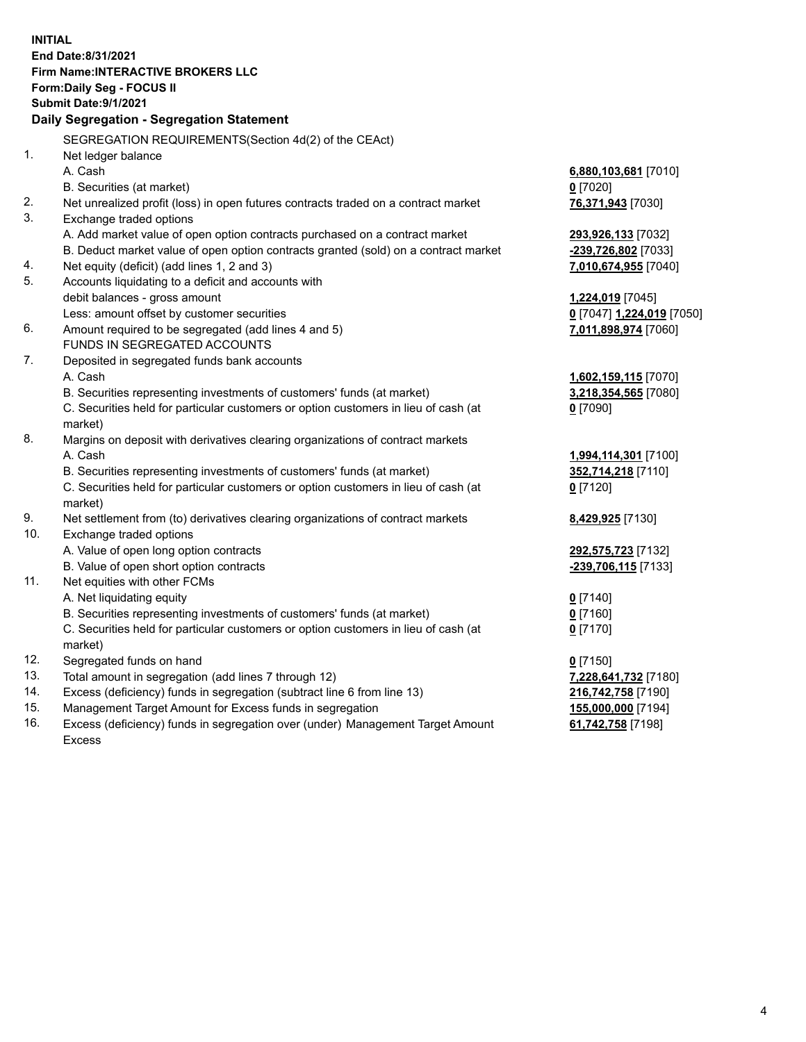**INITIAL End Date:8/31/2021 Firm Name:INTERACTIVE BROKERS LLC Form:Daily Seg - FOCUS II Submit Date:9/1/2021 Daily Segregation - Segregation Statement** SEGREGATION REQUIREMENTS(Section 4d(2) of the CEAct) 1. Net ledger balance A. Cash **6,880,103,681** [7010] B. Securities (at market) **0** [7020] 2. Net unrealized profit (loss) in open futures contracts traded on a contract market **76,371,943** [7030] 3. Exchange traded options A. Add market value of open option contracts purchased on a contract market **293,926,133** [7032] B. Deduct market value of open option contracts granted (sold) on a contract market **-239,726,802** [7033] 4. Net equity (deficit) (add lines 1, 2 and 3) **7,010,674,955** [7040] 5. Accounts liquidating to a deficit and accounts with debit balances - gross amount **1,224,019** [7045] Less: amount offset by customer securities **0** [7047] **1,224,019** [7050] 6. Amount required to be segregated (add lines 4 and 5) **7,011,898,974** [7060] FUNDS IN SEGREGATED ACCOUNTS 7. Deposited in segregated funds bank accounts A. Cash **1,602,159,115** [7070] B. Securities representing investments of customers' funds (at market) **3,218,354,565** [7080] C. Securities held for particular customers or option customers in lieu of cash (at market) **0** [7090] 8. Margins on deposit with derivatives clearing organizations of contract markets A. Cash **1,994,114,301** [7100] B. Securities representing investments of customers' funds (at market) **352,714,218** [7110] C. Securities held for particular customers or option customers in lieu of cash (at market) **0** [7120] 9. Net settlement from (to) derivatives clearing organizations of contract markets **8,429,925** [7130] 10. Exchange traded options A. Value of open long option contracts **292,575,723** [7132] B. Value of open short option contracts **-239,706,115** [7133] 11. Net equities with other FCMs A. Net liquidating equity **0** [7140] B. Securities representing investments of customers' funds (at market) **0** [7160] C. Securities held for particular customers or option customers in lieu of cash (at market) **0** [7170] 12. Segregated funds on hand **0** [7150] 13. Total amount in segregation (add lines 7 through 12) **7,228,641,732** [7180] 14. Excess (deficiency) funds in segregation (subtract line 6 from line 13) **216,742,758** [7190] 15. Management Target Amount for Excess funds in segregation **155,000,000** [7194]

16. Excess (deficiency) funds in segregation over (under) Management Target Amount Excess

**61,742,758** [7198]